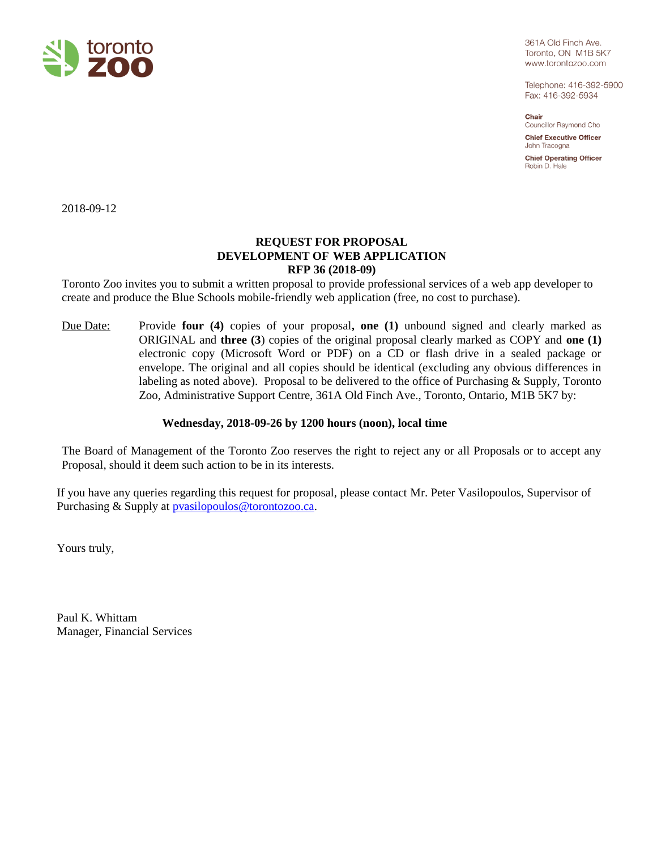

361A Old Finch Ave. Toronto, ON M1B 5K7 www.torontozoo.com

Telephone: 416-392-5900 Fax: 416-392-5934

Chair Councillor Raymond Cho

**Chief Executive Officer** John Tracogna

**Chief Operating Officer** Robin D. Hale

2018-09-12

# **REQUEST FOR PROPOSAL DEVELOPMENT OF WEB APPLICATION RFP 36 (2018-09)**

Toronto Zoo invites you to submit a written proposal to provide professional services of a web app developer to create and produce the Blue Schools mobile-friendly web application (free, no cost to purchase).

Due Date: Provide **four (4)** copies of your proposal**, one (1)** unbound signed and clearly marked as ORIGINAL and **three (3**) copies of the original proposal clearly marked as COPY and **one (1)** electronic copy (Microsoft Word or PDF) on a CD or flash drive in a sealed package or envelope. The original and all copies should be identical (excluding any obvious differences in labeling as noted above). Proposal to be delivered to the office of Purchasing & Supply, Toronto Zoo, Administrative Support Centre, 361A Old Finch Ave., Toronto, Ontario, M1B 5K7 by:

# **Wednesday, 2018-09-26 by 1200 hours (noon), local time**

The Board of Management of the Toronto Zoo reserves the right to reject any or all Proposals or to accept any Proposal, should it deem such action to be in its interests.

If you have any queries regarding this request for proposal, please contact Mr. Peter Vasilopoulos, Supervisor of Purchasing & Supply at **pvasilopoulos@torontozoo.ca**.

Yours truly,

Paul K. Whittam Manager, Financial Services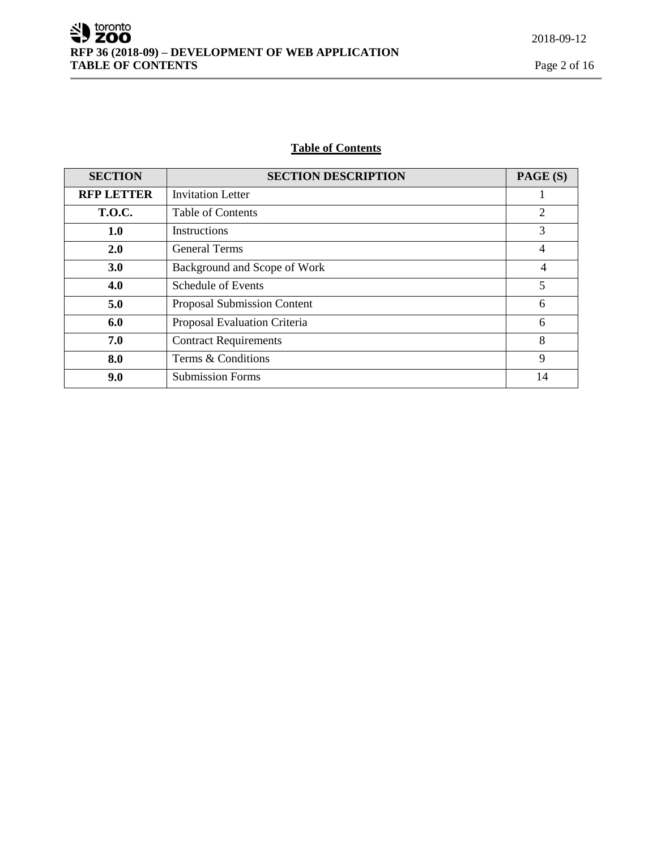# **Table of Contents**

| <b>SECTION</b>    | <b>SECTION DESCRIPTION</b>   | PAGE (S)       |
|-------------------|------------------------------|----------------|
| <b>RFP LETTER</b> | <b>Invitation Letter</b>     |                |
| <b>T.O.C.</b>     | Table of Contents            | 2              |
| 1.0               | Instructions                 | 3              |
| 2.0               | <b>General Terms</b>         | 4              |
| 3.0               | Background and Scope of Work | $\overline{4}$ |
| 4.0               | Schedule of Events           | 5              |
| 5.0               | Proposal Submission Content  | 6              |
| 6.0               | Proposal Evaluation Criteria | 6              |
| 7.0               | <b>Contract Requirements</b> | 8              |
| 8.0               | Terms & Conditions           | 9              |
| 9.0               | <b>Submission Forms</b>      | 14             |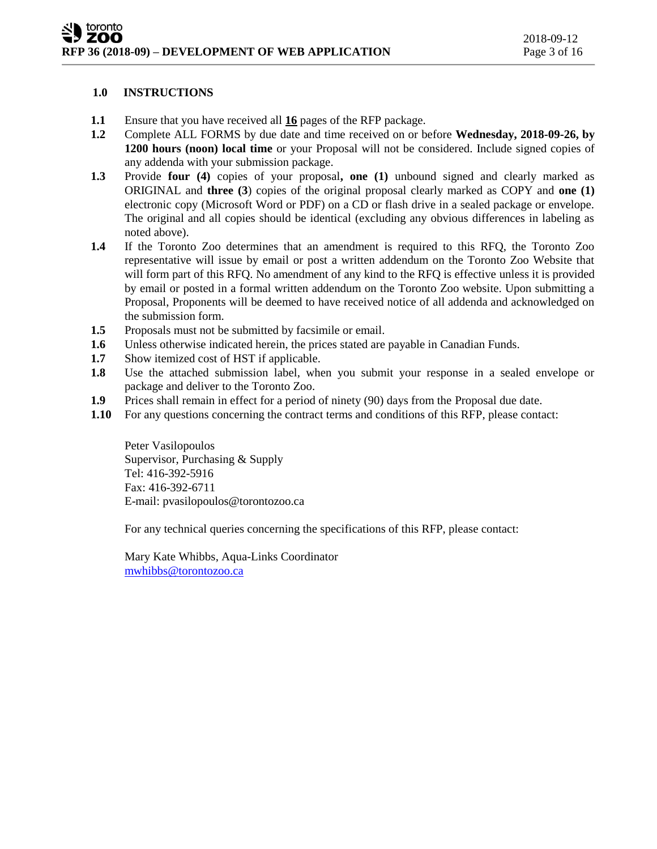# **1.0 INSTRUCTIONS**

- **1.1** Ensure that you have received all **16** pages of the RFP package.
- **1.2** Complete ALL FORMS by due date and time received on or before **Wednesday, 2018-09-26, by 1200 hours (noon) local time** or your Proposal will not be considered. Include signed copies of any addenda with your submission package.
- **1.3** Provide **four (4)** copies of your proposal**, one (1)** unbound signed and clearly marked as ORIGINAL and **three (3**) copies of the original proposal clearly marked as COPY and **one (1)** electronic copy (Microsoft Word or PDF) on a CD or flash drive in a sealed package or envelope. The original and all copies should be identical (excluding any obvious differences in labeling as noted above).
- **1.4** If the Toronto Zoo determines that an amendment is required to this RFQ, the Toronto Zoo representative will issue by email or post a written addendum on the Toronto Zoo Website that will form part of this RFQ. No amendment of any kind to the RFQ is effective unless it is provided by email or posted in a formal written addendum on the Toronto Zoo website. Upon submitting a Proposal, Proponents will be deemed to have received notice of all addenda and acknowledged on the submission form.
- **1.5** Proposals must not be submitted by facsimile or email.
- **1.6** Unless otherwise indicated herein, the prices stated are payable in Canadian Funds.
- **1.7** Show itemized cost of HST if applicable.
- **1.8** Use the attached submission label, when you submit your response in a sealed envelope or package and deliver to the Toronto Zoo.
- **1.9** Prices shall remain in effect for a period of ninety (90) days from the Proposal due date.
- **1.10** For any questions concerning the contract terms and conditions of this RFP, please contact:

Peter Vasilopoulos Supervisor, Purchasing & Supply Tel: 416-392-5916 Fax: 416-392-6711 E-mail: pvasilopoulos@torontozoo.ca

For any technical queries concerning the specifications of this RFP, please contact:

Mary Kate Whibbs, Aqua-Links Coordinator [mwhibbs@torontozoo.ca](mailto:mwhibbs@torontozoo.ca)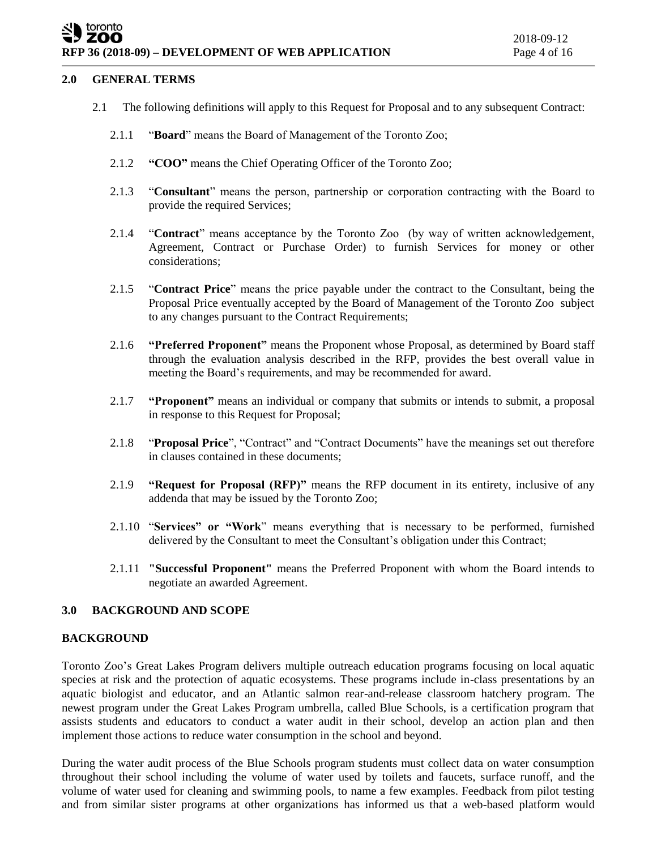### **2.0 GENERAL TERMS**

- 2.1 The following definitions will apply to this Request for Proposal and to any subsequent Contract:
	- 2.1.1 "**Board**" means the Board of Management of the Toronto Zoo;
	- 2.1.2 **"COO"** means the Chief Operating Officer of the Toronto Zoo;
	- 2.1.3 "**Consultant**" means the person, partnership or corporation contracting with the Board to provide the required Services;
	- 2.1.4 "**Contract**" means acceptance by the Toronto Zoo (by way of written acknowledgement, Agreement, Contract or Purchase Order) to furnish Services for money or other considerations;
	- 2.1.5 "**Contract Price**" means the price payable under the contract to the Consultant, being the Proposal Price eventually accepted by the Board of Management of the Toronto Zoo subject to any changes pursuant to the Contract Requirements;
	- 2.1.6 **"Preferred Proponent"** means the Proponent whose Proposal, as determined by Board staff through the evaluation analysis described in the RFP, provides the best overall value in meeting the Board's requirements, and may be recommended for award.
	- 2.1.7 **"Proponent"** means an individual or company that submits or intends to submit, a proposal in response to this Request for Proposal;
	- 2.1.8 "**Proposal Price**", "Contract" and "Contract Documents" have the meanings set out therefore in clauses contained in these documents;
	- 2.1.9 **"Request for Proposal (RFP)"** means the RFP document in its entirety, inclusive of any addenda that may be issued by the Toronto Zoo;
	- 2.1.10 "**Services" or "Work**" means everything that is necessary to be performed, furnished delivered by the Consultant to meet the Consultant's obligation under this Contract;
	- 2.1.11 **"Successful Proponent"** means the Preferred Proponent with whom the Board intends to negotiate an awarded Agreement.

# **3.0 BACKGROUND AND SCOPE**

### **BACKGROUND**

Toronto Zoo's Great Lakes Program delivers multiple outreach education programs focusing on local aquatic species at risk and the protection of aquatic ecosystems. These programs include in-class presentations by an aquatic biologist and educator, and an Atlantic salmon rear-and-release classroom hatchery program. The newest program under the Great Lakes Program umbrella, called Blue Schools, is a certification program that assists students and educators to conduct a water audit in their school, develop an action plan and then implement those actions to reduce water consumption in the school and beyond.

During the water audit process of the Blue Schools program students must collect data on water consumption throughout their school including the volume of water used by toilets and faucets, surface runoff, and the volume of water used for cleaning and swimming pools, to name a few examples. Feedback from pilot testing and from similar sister programs at other organizations has informed us that a web-based platform would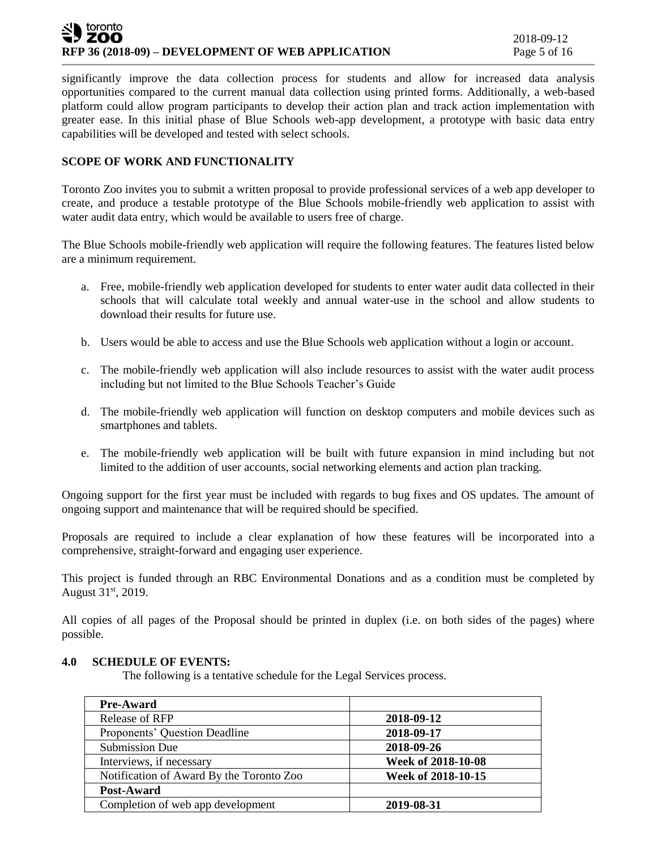## toronto ZOO **RFP 36 (2018-09) – DEVELOPMENT OF WEB APPLICATION** Page 5 of 16

significantly improve the data collection process for students and allow for increased data analysis opportunities compared to the current manual data collection using printed forms. Additionally, a web-based platform could allow program participants to develop their action plan and track action implementation with greater ease. In this initial phase of Blue Schools web-app development, a prototype with basic data entry capabilities will be developed and tested with select schools.

# **SCOPE OF WORK AND FUNCTIONALITY**

Toronto Zoo invites you to submit a written proposal to provide professional services of a web app developer to create, and produce a testable prototype of the Blue Schools mobile-friendly web application to assist with water audit data entry, which would be available to users free of charge.

The Blue Schools mobile-friendly web application will require the following features. The features listed below are a minimum requirement.

- a. Free, mobile-friendly web application developed for students to enter water audit data collected in their schools that will calculate total weekly and annual water-use in the school and allow students to download their results for future use.
- b. Users would be able to access and use the Blue Schools web application without a login or account.
- c. The mobile-friendly web application will also include resources to assist with the water audit process including but not limited to the Blue Schools Teacher's Guide
- d. The mobile-friendly web application will function on desktop computers and mobile devices such as smartphones and tablets.
- e. The mobile-friendly web application will be built with future expansion in mind including but not limited to the addition of user accounts, social networking elements and action plan tracking.

Ongoing support for the first year must be included with regards to bug fixes and OS updates. The amount of ongoing support and maintenance that will be required should be specified.

Proposals are required to include a clear explanation of how these features will be incorporated into a comprehensive, straight-forward and engaging user experience.

This project is funded through an RBC Environmental Donations and as a condition must be completed by August 31st, 2019.

All copies of all pages of the Proposal should be printed in duplex (i.e. on both sides of the pages) where possible.

# **4.0 SCHEDULE OF EVENTS:**

The following is a tentative schedule for the Legal Services process.

| <b>Pre-Award</b>                         |                    |
|------------------------------------------|--------------------|
| Release of RFP                           | 2018-09-12         |
| Proponents' Question Deadline            | 2018-09-17         |
| Submission Due                           | 2018-09-26         |
| Interviews, if necessary                 | Week of 2018-10-08 |
| Notification of Award By the Toronto Zoo | Week of 2018-10-15 |
| Post-Award                               |                    |
| Completion of web app development        | 2019-08-31         |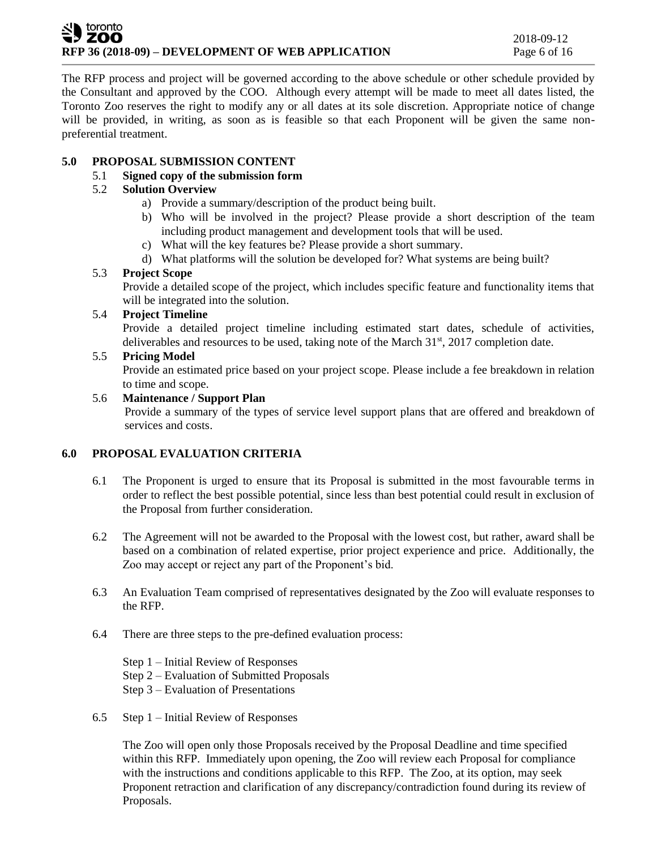### toronto **ZOO RFP 36 (2018-09) – DEVELOPMENT OF WEB APPLICATION** Page 6 of 16

The RFP process and project will be governed according to the above schedule or other schedule provided by the Consultant and approved by the COO. Although every attempt will be made to meet all dates listed, the Toronto Zoo reserves the right to modify any or all dates at its sole discretion. Appropriate notice of change will be provided, in writing, as soon as is feasible so that each Proponent will be given the same nonpreferential treatment.

# **5.0 PROPOSAL SUBMISSION CONTENT**

# 5.1 **Signed copy of the submission form**

# 5.2 **Solution Overview**

- a) Provide a summary/description of the product being built.
- b) Who will be involved in the project? Please provide a short description of the team including product management and development tools that will be used.
- c) What will the key features be? Please provide a short summary.
- d) What platforms will the solution be developed for? What systems are being built?

# 5.3 **Project Scope**

Provide a detailed scope of the project, which includes specific feature and functionality items that will be integrated into the solution.

# 5.4 **Project Timeline**

Provide a detailed project timeline including estimated start dates, schedule of activities, deliverables and resources to be used, taking note of the March 31<sup>st</sup>, 2017 completion date.

# 5.5 **Pricing Model**

Provide an estimated price based on your project scope. Please include a fee breakdown in relation to time and scope.

# 5.6 **Maintenance / Support Plan**

Provide a summary of the types of service level support plans that are offered and breakdown of services and costs.

# **6.0 PROPOSAL EVALUATION CRITERIA**

- 6.1 The Proponent is urged to ensure that its Proposal is submitted in the most favourable terms in order to reflect the best possible potential, since less than best potential could result in exclusion of the Proposal from further consideration.
- 6.2 The Agreement will not be awarded to the Proposal with the lowest cost, but rather, award shall be based on a combination of related expertise, prior project experience and price. Additionally, the Zoo may accept or reject any part of the Proponent's bid.
- 6.3 An Evaluation Team comprised of representatives designated by the Zoo will evaluate responses to the RFP.
- 6.4 There are three steps to the pre-defined evaluation process:
	- Step 1 Initial Review of Responses
	- Step 2 Evaluation of Submitted Proposals
	- Step 3 Evaluation of Presentations
- 6.5 Step 1 Initial Review of Responses

The Zoo will open only those Proposals received by the Proposal Deadline and time specified within this RFP. Immediately upon opening, the Zoo will review each Proposal for compliance with the instructions and conditions applicable to this RFP. The Zoo, at its option, may seek Proponent retraction and clarification of any discrepancy/contradiction found during its review of Proposals.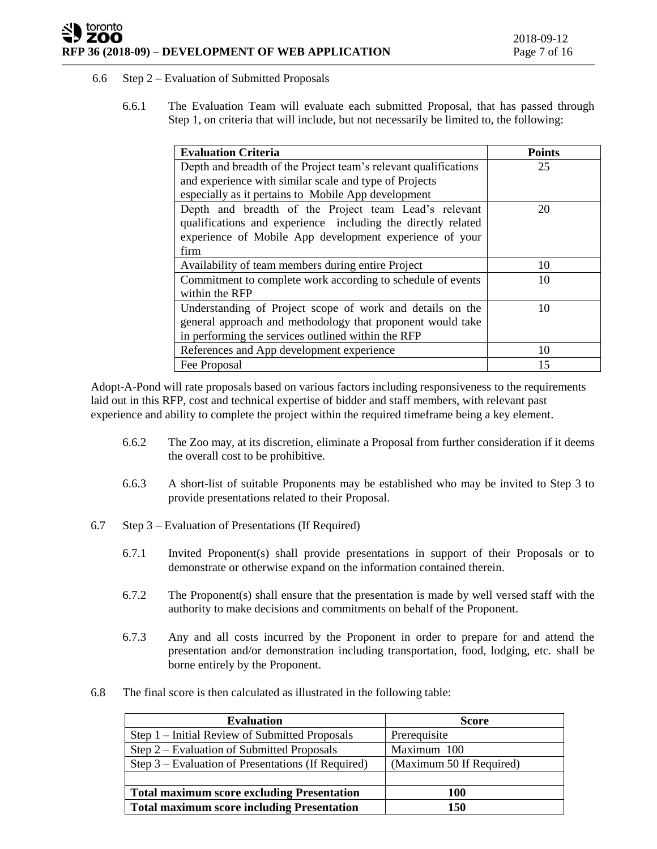## toronto ZOO **RFP 36 (2018-09) – DEVELOPMENT OF WEB APPLICATION** Page 7 of 16

## 6.6 Step 2 – Evaluation of Submitted Proposals

6.6.1 The Evaluation Team will evaluate each submitted Proposal, that has passed through Step 1, on criteria that will include, but not necessarily be limited to, the following:

| <b>Evaluation Criteria</b>                                      | <b>Points</b> |
|-----------------------------------------------------------------|---------------|
| Depth and breadth of the Project team's relevant qualifications | 25            |
| and experience with similar scale and type of Projects          |               |
| especially as it pertains to Mobile App development             |               |
| Depth and breadth of the Project team Lead's relevant           | 20            |
| qualifications and experience including the directly related    |               |
| experience of Mobile App development experience of your         |               |
| firm                                                            |               |
| Availability of team members during entire Project              | 10            |
| Commitment to complete work according to schedule of events     | 10            |
| within the RFP                                                  |               |
| Understanding of Project scope of work and details on the       | 10            |
| general approach and methodology that proponent would take      |               |
| in performing the services outlined within the RFP              |               |
| References and App development experience                       | 10            |
| Fee Proposal                                                    | 15            |

Adopt-A-Pond will rate proposals based on various factors including responsiveness to the requirements laid out in this RFP, cost and technical expertise of bidder and staff members, with relevant past experience and ability to complete the project within the required timeframe being a key element.

- 6.6.2 The Zoo may, at its discretion, eliminate a Proposal from further consideration if it deems the overall cost to be prohibitive.
- 6.6.3 A short-list of suitable Proponents may be established who may be invited to Step 3 to provide presentations related to their Proposal.
- 6.7 Step 3 Evaluation of Presentations (If Required)
	- 6.7.1 Invited Proponent(s) shall provide presentations in support of their Proposals or to demonstrate or otherwise expand on the information contained therein.
	- 6.7.2 The Proponent(s) shall ensure that the presentation is made by well versed staff with the authority to make decisions and commitments on behalf of the Proponent.
	- 6.7.3 Any and all costs incurred by the Proponent in order to prepare for and attend the presentation and/or demonstration including transportation, food, lodging, etc. shall be borne entirely by the Proponent.
- 6.8 The final score is then calculated as illustrated in the following table:

| <b>Evaluation</b>                                  | <b>Score</b>             |
|----------------------------------------------------|--------------------------|
| Step 1 – Initial Review of Submitted Proposals     | Prerequisite             |
| Step 2 – Evaluation of Submitted Proposals         | Maximum 100              |
| Step 3 – Evaluation of Presentations (If Required) | (Maximum 50 If Required) |
|                                                    |                          |
| <b>Total maximum score excluding Presentation</b>  | 100                      |
| <b>Total maximum score including Presentation</b>  | 150                      |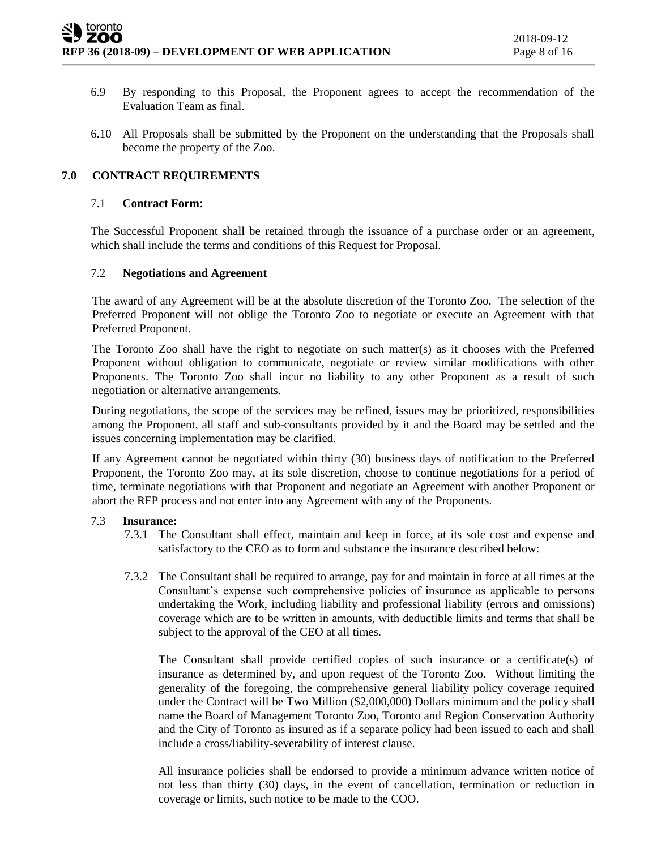- 6.9 By responding to this Proposal, the Proponent agrees to accept the recommendation of the Evaluation Team as final.
- 6.10 All Proposals shall be submitted by the Proponent on the understanding that the Proposals shall become the property of the Zoo.

# **7.0 CONTRACT REQUIREMENTS**

#### 7.1 **Contract Form**:

The Successful Proponent shall be retained through the issuance of a purchase order or an agreement, which shall include the terms and conditions of this Request for Proposal.

### 7.2 **Negotiations and Agreement**

The award of any Agreement will be at the absolute discretion of the Toronto Zoo. The selection of the Preferred Proponent will not oblige the Toronto Zoo to negotiate or execute an Agreement with that Preferred Proponent.

The Toronto Zoo shall have the right to negotiate on such matter(s) as it chooses with the Preferred Proponent without obligation to communicate, negotiate or review similar modifications with other Proponents. The Toronto Zoo shall incur no liability to any other Proponent as a result of such negotiation or alternative arrangements.

During negotiations, the scope of the services may be refined, issues may be prioritized, responsibilities among the Proponent, all staff and sub-consultants provided by it and the Board may be settled and the issues concerning implementation may be clarified.

If any Agreement cannot be negotiated within thirty (30) business days of notification to the Preferred Proponent, the Toronto Zoo may, at its sole discretion, choose to continue negotiations for a period of time, terminate negotiations with that Proponent and negotiate an Agreement with another Proponent or abort the RFP process and not enter into any Agreement with any of the Proponents.

#### 7.3 **Insurance:**

- 7.3.1 The Consultant shall effect, maintain and keep in force, at its sole cost and expense and satisfactory to the CEO as to form and substance the insurance described below:
- 7.3.2 The Consultant shall be required to arrange, pay for and maintain in force at all times at the Consultant's expense such comprehensive policies of insurance as applicable to persons undertaking the Work, including liability and professional liability (errors and omissions) coverage which are to be written in amounts, with deductible limits and terms that shall be subject to the approval of the CEO at all times.

The Consultant shall provide certified copies of such insurance or a certificate(s) of insurance as determined by, and upon request of the Toronto Zoo. Without limiting the generality of the foregoing, the comprehensive general liability policy coverage required under the Contract will be Two Million (\$2,000,000) Dollars minimum and the policy shall name the Board of Management Toronto Zoo, Toronto and Region Conservation Authority and the City of Toronto as insured as if a separate policy had been issued to each and shall include a cross/liability-severability of interest clause.

All insurance policies shall be endorsed to provide a minimum advance written notice of not less than thirty (30) days, in the event of cancellation, termination or reduction in coverage or limits, such notice to be made to the COO.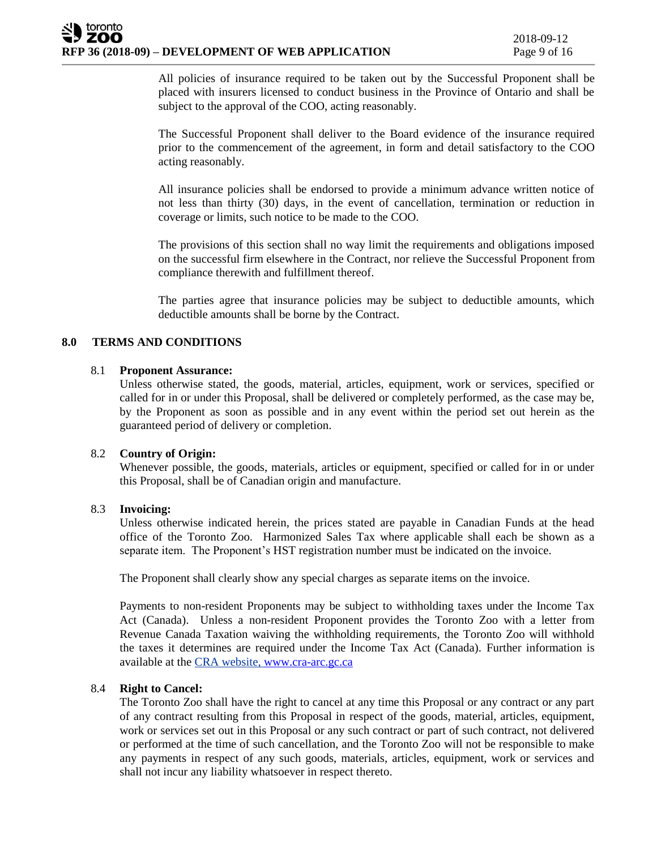All policies of insurance required to be taken out by the Successful Proponent shall be placed with insurers licensed to conduct business in the Province of Ontario and shall be subject to the approval of the COO, acting reasonably.

The Successful Proponent shall deliver to the Board evidence of the insurance required prior to the commencement of the agreement, in form and detail satisfactory to the COO acting reasonably.

All insurance policies shall be endorsed to provide a minimum advance written notice of not less than thirty (30) days, in the event of cancellation, termination or reduction in coverage or limits, such notice to be made to the COO.

The provisions of this section shall no way limit the requirements and obligations imposed on the successful firm elsewhere in the Contract, nor relieve the Successful Proponent from compliance therewith and fulfillment thereof.

The parties agree that insurance policies may be subject to deductible amounts, which deductible amounts shall be borne by the Contract.

# **8.0 TERMS AND CONDITIONS**

### 8.1 **Proponent Assurance:**

Unless otherwise stated, the goods, material, articles, equipment, work or services, specified or called for in or under this Proposal, shall be delivered or completely performed, as the case may be, by the Proponent as soon as possible and in any event within the period set out herein as the guaranteed period of delivery or completion.

### 8.2 **Country of Origin:**

Whenever possible, the goods, materials, articles or equipment, specified or called for in or under this Proposal, shall be of Canadian origin and manufacture.

#### 8.3 **Invoicing:**

Unless otherwise indicated herein, the prices stated are payable in Canadian Funds at the head office of the Toronto Zoo. Harmonized Sales Tax where applicable shall each be shown as a separate item. The Proponent's HST registration number must be indicated on the invoice.

The Proponent shall clearly show any special charges as separate items on the invoice.

Payments to non-resident Proponents may be subject to withholding taxes under the Income Tax Act (Canada). Unless a non-resident Proponent provides the Toronto Zoo with a letter from Revenue Canada Taxation waiving the withholding requirements, the Toronto Zoo will withhold the taxes it determines are required under the Income Tax Act (Canada). Further information is available at the CRA website, [www.cra-arc.gc.ca](http://www.cra-arc.gc.ca/)

## 8.4 **Right to Cancel:**

The Toronto Zoo shall have the right to cancel at any time this Proposal or any contract or any part of any contract resulting from this Proposal in respect of the goods, material, articles, equipment, work or services set out in this Proposal or any such contract or part of such contract, not delivered or performed at the time of such cancellation, and the Toronto Zoo will not be responsible to make any payments in respect of any such goods, materials, articles, equipment, work or services and shall not incur any liability whatsoever in respect thereto.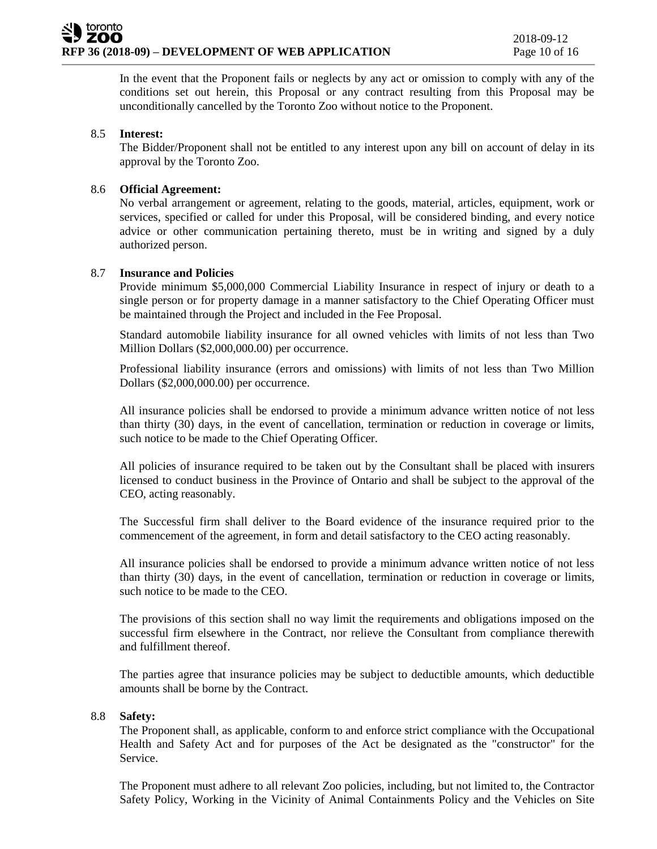In the event that the Proponent fails or neglects by any act or omission to comply with any of the conditions set out herein, this Proposal or any contract resulting from this Proposal may be unconditionally cancelled by the Toronto Zoo without notice to the Proponent.

## 8.5 **Interest:**

The Bidder/Proponent shall not be entitled to any interest upon any bill on account of delay in its approval by the Toronto Zoo.

# 8.6 **Official Agreement:**

No verbal arrangement or agreement, relating to the goods, material, articles, equipment, work or services, specified or called for under this Proposal, will be considered binding, and every notice advice or other communication pertaining thereto, must be in writing and signed by a duly authorized person.

### 8.7 **Insurance and Policies**

Provide minimum \$5,000,000 Commercial Liability Insurance in respect of injury or death to a single person or for property damage in a manner satisfactory to the Chief Operating Officer must be maintained through the Project and included in the Fee Proposal.

Standard automobile liability insurance for all owned vehicles with limits of not less than Two Million Dollars (\$2,000,000.00) per occurrence.

Professional liability insurance (errors and omissions) with limits of not less than Two Million Dollars (\$2,000,000.00) per occurrence.

All insurance policies shall be endorsed to provide a minimum advance written notice of not less than thirty (30) days, in the event of cancellation, termination or reduction in coverage or limits, such notice to be made to the Chief Operating Officer.

All policies of insurance required to be taken out by the Consultant shall be placed with insurers licensed to conduct business in the Province of Ontario and shall be subject to the approval of the CEO, acting reasonably.

The Successful firm shall deliver to the Board evidence of the insurance required prior to the commencement of the agreement, in form and detail satisfactory to the CEO acting reasonably.

All insurance policies shall be endorsed to provide a minimum advance written notice of not less than thirty (30) days, in the event of cancellation, termination or reduction in coverage or limits, such notice to be made to the CEO.

The provisions of this section shall no way limit the requirements and obligations imposed on the successful firm elsewhere in the Contract, nor relieve the Consultant from compliance therewith and fulfillment thereof.

The parties agree that insurance policies may be subject to deductible amounts, which deductible amounts shall be borne by the Contract.

#### 8.8 **Safety:**

The Proponent shall, as applicable, conform to and enforce strict compliance with the Occupational Health and Safety Act and for purposes of the Act be designated as the "constructor" for the Service.

The Proponent must adhere to all relevant Zoo policies, including, but not limited to, the Contractor Safety Policy, Working in the Vicinity of Animal Containments Policy and the Vehicles on Site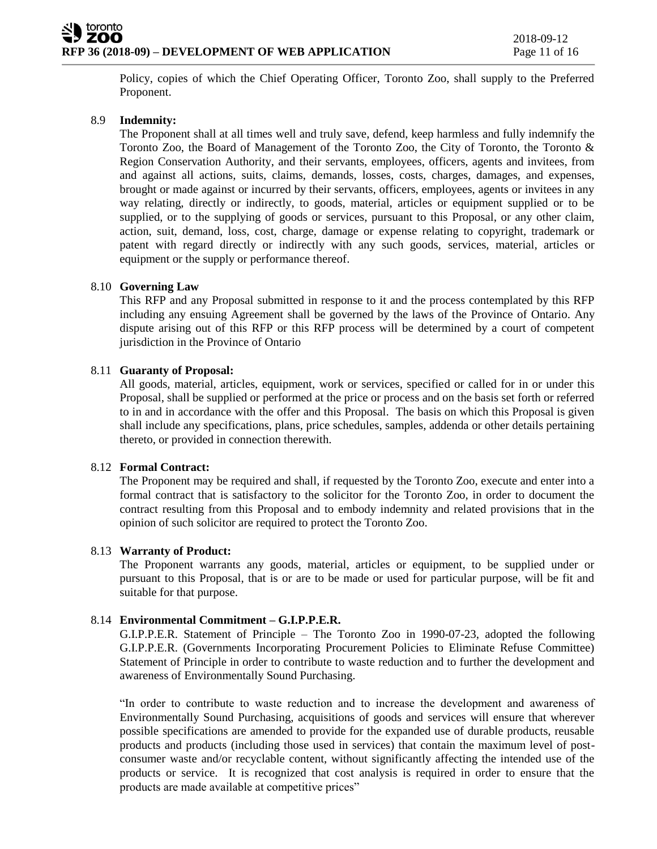Policy, copies of which the Chief Operating Officer, Toronto Zoo, shall supply to the Preferred Proponent.

# 8.9 **Indemnity:**

The Proponent shall at all times well and truly save, defend, keep harmless and fully indemnify the Toronto Zoo, the Board of Management of the Toronto Zoo, the City of Toronto, the Toronto & Region Conservation Authority, and their servants, employees, officers, agents and invitees, from and against all actions, suits, claims, demands, losses, costs, charges, damages, and expenses, brought or made against or incurred by their servants, officers, employees, agents or invitees in any way relating, directly or indirectly, to goods, material, articles or equipment supplied or to be supplied, or to the supplying of goods or services, pursuant to this Proposal, or any other claim, action, suit, demand, loss, cost, charge, damage or expense relating to copyright, trademark or patent with regard directly or indirectly with any such goods, services, material, articles or equipment or the supply or performance thereof.

# 8.10 **Governing Law**

This RFP and any Proposal submitted in response to it and the process contemplated by this RFP including any ensuing Agreement shall be governed by the laws of the Province of Ontario. Any dispute arising out of this RFP or this RFP process will be determined by a court of competent jurisdiction in the Province of Ontario

# 8.11 **Guaranty of Proposal:**

All goods, material, articles, equipment, work or services, specified or called for in or under this Proposal, shall be supplied or performed at the price or process and on the basis set forth or referred to in and in accordance with the offer and this Proposal. The basis on which this Proposal is given shall include any specifications, plans, price schedules, samples, addenda or other details pertaining thereto, or provided in connection therewith.

# 8.12 **Formal Contract:**

The Proponent may be required and shall, if requested by the Toronto Zoo, execute and enter into a formal contract that is satisfactory to the solicitor for the Toronto Zoo, in order to document the contract resulting from this Proposal and to embody indemnity and related provisions that in the opinion of such solicitor are required to protect the Toronto Zoo.

# 8.13 **Warranty of Product:**

The Proponent warrants any goods, material, articles or equipment, to be supplied under or pursuant to this Proposal, that is or are to be made or used for particular purpose, will be fit and suitable for that purpose.

# 8.14 **Environmental Commitment – G.I.P.P.E.R.**

G.I.P.P.E.R. Statement of Principle – The Toronto Zoo in 1990-07-23, adopted the following G.I.P.P.E.R. (Governments Incorporating Procurement Policies to Eliminate Refuse Committee) Statement of Principle in order to contribute to waste reduction and to further the development and awareness of Environmentally Sound Purchasing.

"In order to contribute to waste reduction and to increase the development and awareness of Environmentally Sound Purchasing, acquisitions of goods and services will ensure that wherever possible specifications are amended to provide for the expanded use of durable products, reusable products and products (including those used in services) that contain the maximum level of postconsumer waste and/or recyclable content, without significantly affecting the intended use of the products or service. It is recognized that cost analysis is required in order to ensure that the products are made available at competitive prices"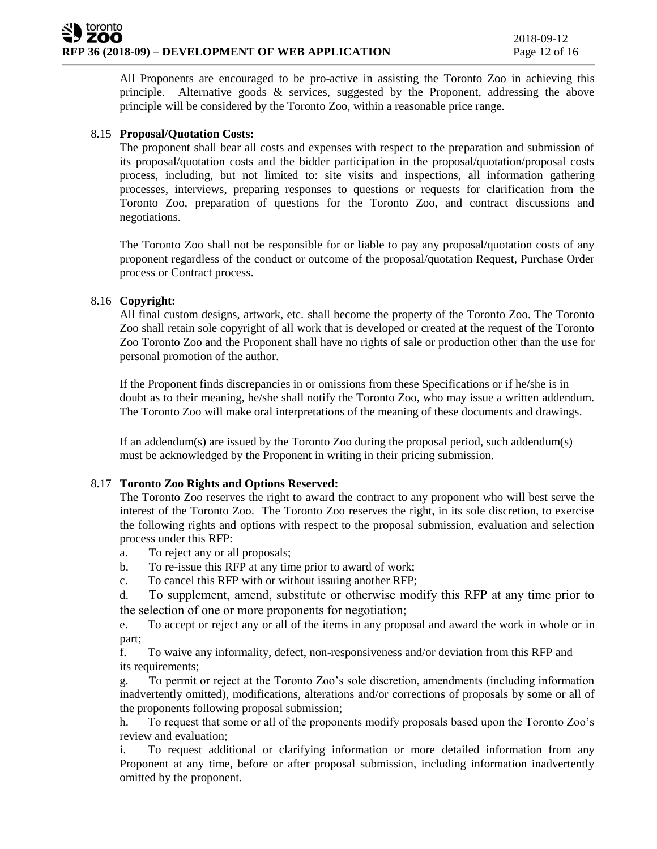All Proponents are encouraged to be pro-active in assisting the Toronto Zoo in achieving this principle. Alternative goods & services, suggested by the Proponent, addressing the above principle will be considered by the Toronto Zoo, within a reasonable price range.

# 8.15 **Proposal/Quotation Costs:**

The proponent shall bear all costs and expenses with respect to the preparation and submission of its proposal/quotation costs and the bidder participation in the proposal/quotation/proposal costs process, including, but not limited to: site visits and inspections, all information gathering processes, interviews, preparing responses to questions or requests for clarification from the Toronto Zoo, preparation of questions for the Toronto Zoo, and contract discussions and negotiations.

The Toronto Zoo shall not be responsible for or liable to pay any proposal/quotation costs of any proponent regardless of the conduct or outcome of the proposal/quotation Request, Purchase Order process or Contract process.

# 8.16 **Copyright:**

All final custom designs, artwork, etc. shall become the property of the Toronto Zoo. The Toronto Zoo shall retain sole copyright of all work that is developed or created at the request of the Toronto Zoo Toronto Zoo and the Proponent shall have no rights of sale or production other than the use for personal promotion of the author.

If the Proponent finds discrepancies in or omissions from these Specifications or if he/she is in doubt as to their meaning, he/she shall notify the Toronto Zoo, who may issue a written addendum. The Toronto Zoo will make oral interpretations of the meaning of these documents and drawings.

If an addendum(s) are issued by the Toronto Zoo during the proposal period, such addendum(s) must be acknowledged by the Proponent in writing in their pricing submission.

# 8.17 **Toronto Zoo Rights and Options Reserved:**

The Toronto Zoo reserves the right to award the contract to any proponent who will best serve the interest of the Toronto Zoo. The Toronto Zoo reserves the right, in its sole discretion, to exercise the following rights and options with respect to the proposal submission, evaluation and selection process under this RFP:

- a. To reject any or all proposals;
- b. To re-issue this RFP at any time prior to award of work;
- c. To cancel this RFP with or without issuing another RFP;

d. To supplement, amend, substitute or otherwise modify this RFP at any time prior to the selection of one or more proponents for negotiation;

e. To accept or reject any or all of the items in any proposal and award the work in whole or in part;

f. To waive any informality, defect, non-responsiveness and/or deviation from this RFP and its requirements;

g. To permit or reject at the Toronto Zoo's sole discretion, amendments (including information inadvertently omitted), modifications, alterations and/or corrections of proposals by some or all of the proponents following proposal submission;

h. To request that some or all of the proponents modify proposals based upon the Toronto Zoo's review and evaluation;

i. To request additional or clarifying information or more detailed information from any Proponent at any time, before or after proposal submission, including information inadvertently omitted by the proponent.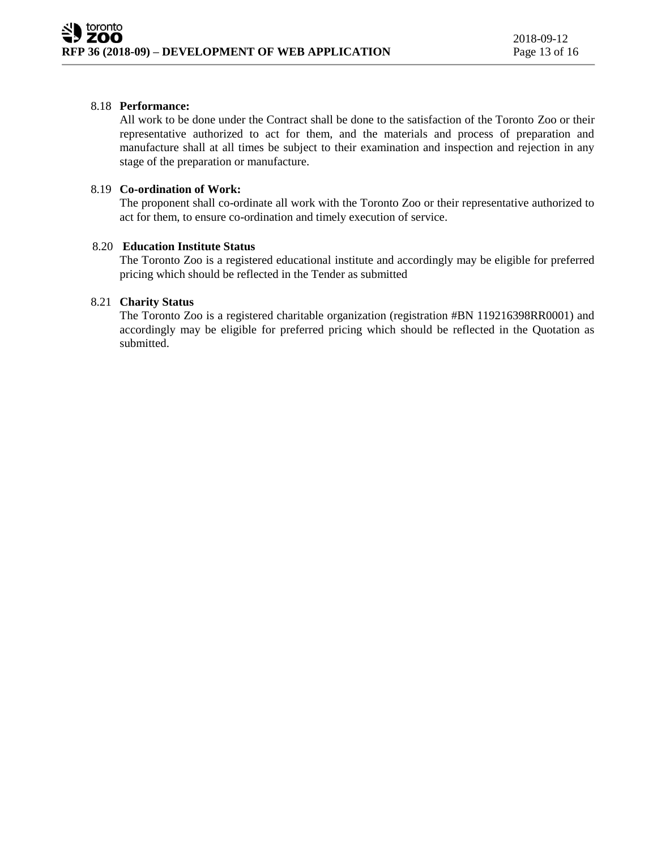# 8.18 **Performance:**

All work to be done under the Contract shall be done to the satisfaction of the Toronto Zoo or their representative authorized to act for them, and the materials and process of preparation and manufacture shall at all times be subject to their examination and inspection and rejection in any stage of the preparation or manufacture.

## 8.19 **Co-ordination of Work:**

The proponent shall co-ordinate all work with the Toronto Zoo or their representative authorized to act for them, to ensure co-ordination and timely execution of service.

### 8.20 **Education Institute Status**

The Toronto Zoo is a registered educational institute and accordingly may be eligible for preferred pricing which should be reflected in the Tender as submitted

## 8.21 **Charity Status**

The Toronto Zoo is a registered charitable organization (registration #BN 119216398RR0001) and accordingly may be eligible for preferred pricing which should be reflected in the Quotation as submitted.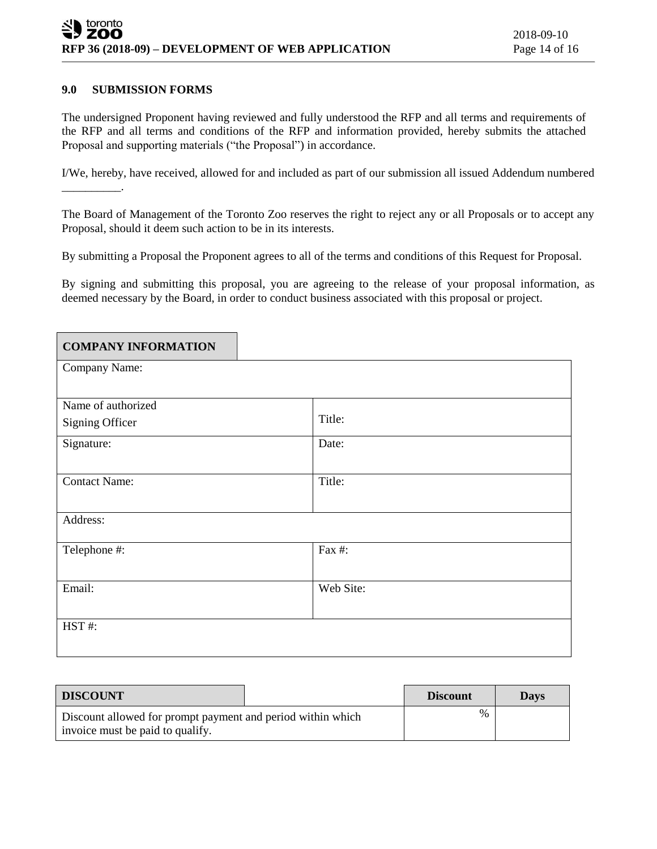### **9.0 SUBMISSION FORMS**

\_\_\_\_\_\_\_\_\_\_.

The undersigned Proponent having reviewed and fully understood the RFP and all terms and requirements of the RFP and all terms and conditions of the RFP and information provided, hereby submits the attached Proposal and supporting materials ("the Proposal") in accordance.

I/We, hereby, have received, allowed for and included as part of our submission all issued Addendum numbered

The Board of Management of the Toronto Zoo reserves the right to reject any or all Proposals or to accept any Proposal, should it deem such action to be in its interests.

By submitting a Proposal the Proponent agrees to all of the terms and conditions of this Request for Proposal.

By signing and submitting this proposal, you are agreeing to the release of your proposal information, as deemed necessary by the Board, in order to conduct business associated with this proposal or project.

| <b>COMPANY INFORMATION</b> |           |
|----------------------------|-----------|
| Company Name:              |           |
|                            |           |
| Name of authorized         |           |
| <b>Signing Officer</b>     | Title:    |
| Signature:                 | Date:     |
|                            |           |
| <b>Contact Name:</b>       | Title:    |
|                            |           |
| Address:                   |           |
| Telephone #:               | Fax #:    |
|                            |           |
| Email:                     | Web Site: |
|                            |           |
| HST#:                      |           |
|                            |           |
|                            |           |

| <b>DISCOUNT</b>                                                                                 | <b>Discount</b> | <b>Days</b> |
|-------------------------------------------------------------------------------------------------|-----------------|-------------|
| Discount allowed for prompt payment and period within which<br>invoice must be paid to qualify. | $\%$            |             |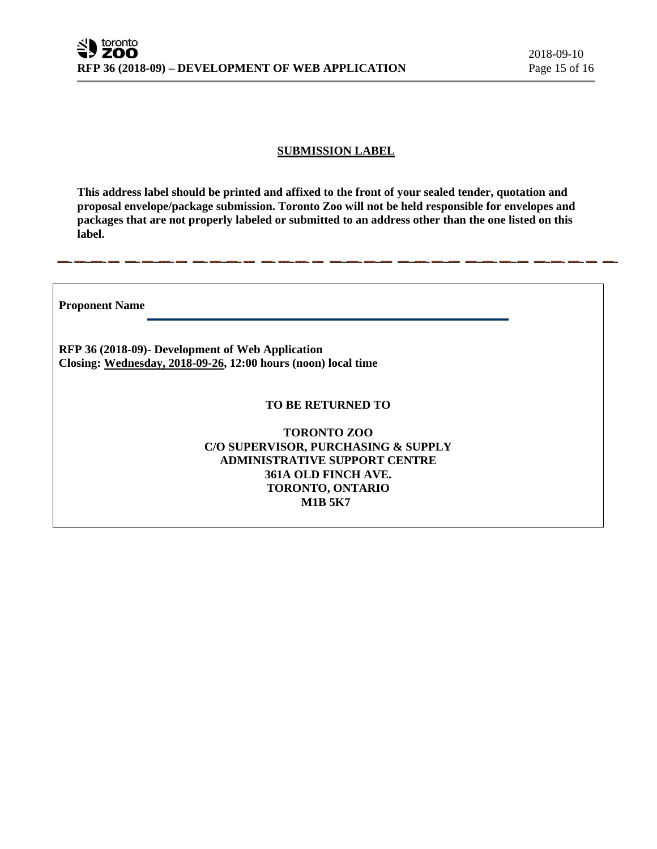## **SUBMISSION LABEL**

**This address label should be printed and affixed to the front of your sealed tender, quotation and proposal envelope/package submission. Toronto Zoo will not be held responsible for envelopes and packages that are not properly labeled or submitted to an address other than the one listed on this label.**

**Proponent Name** 

**RFP 36 (2018-09)- Development of Web Application Closing: Wednesday, 2018-09-26, 12:00 hours (noon) local time**

#### **TO BE RETURNED TO**

**TORONTO ZOO C/O SUPERVISOR, PURCHASING & SUPPLY ADMINISTRATIVE SUPPORT CENTRE 361A OLD FINCH AVE. TORONTO, ONTARIO M1B 5K7**